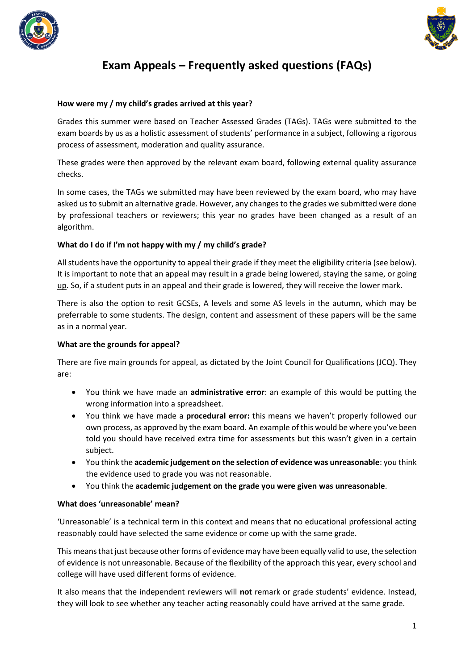



# **Exam Appeals – Frequently asked questions (FAQs)**

## **How were my / my child's grades arrived at this year?**

Grades this summer were based on Teacher Assessed Grades (TAGs). TAGs were submitted to the exam boards by us as a holistic assessment of students' performance in a subject, following a rigorous process of assessment, moderation and quality assurance.

These grades were then approved by the relevant exam board, following external quality assurance checks.

In some cases, the TAGs we submitted may have been reviewed by the exam board, who may have asked us to submit an alternative grade. However, any changes to the grades we submitted were done by professional teachers or reviewers; this year no grades have been changed as a result of an algorithm.

## **What do I do if I'm not happy with my / my child's grade?**

All students have the opportunity to appeal their grade if they meet the eligibility criteria (see below). It is important to note that an appeal may result in a grade being lowered, staying the same, or going up. So, if a student puts in an appeal and their grade is lowered, they will receive the lower mark.

There is also the option to resit GCSEs, A levels and some AS levels in the autumn, which may be preferrable to some students. The design, content and assessment of these papers will be the same as in a normal year.

#### **What are the grounds for appeal?**

There are five main grounds for appeal, as dictated by the Joint Council for Qualifications (JCQ). They are:

- You think we have made an **administrative error**: an example of this would be putting the wrong information into a spreadsheet.
- You think we have made a **procedural error:** this means we haven't properly followed our own process, as approved by the exam board. An example of this would be where you've been told you should have received extra time for assessments but this wasn't given in a certain subject.
- You think the **academic judgement on the selection of evidence was unreasonable**: you think the evidence used to grade you was not reasonable.
- You think the **academic judgement on the grade you were given was unreasonable**.

#### **What does 'unreasonable' mean?**

'Unreasonable' is a technical term in this context and means that no educational professional acting reasonably could have selected the same evidence or come up with the same grade.

This means that just because other forms of evidence may have been equally valid to use, the selection of evidence is not unreasonable. Because of the flexibility of the approach this year, every school and college will have used different forms of evidence.

It also means that the independent reviewers will **not** remark or grade students' evidence. Instead, they will look to see whether any teacher acting reasonably could have arrived at the same grade.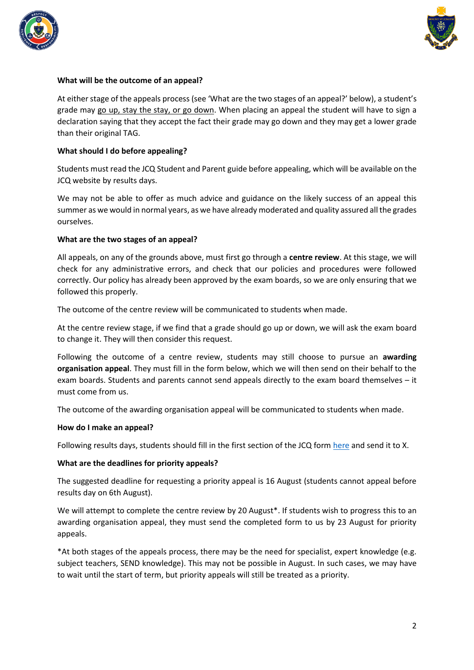



## **What will be the outcome of an appeal?**

At either stage of the appeals process (see 'What are the two stages of an appeal?' below), a student's grade may go up, stay the stay, or go down. When placing an appeal the student will have to sign a declaration saying that they accept the fact their grade may go down and they may get a lower grade than their original TAG.

#### **What should I do before appealing?**

Students must read the JCQ Student and Parent guide before appealing, which will be available on the JCQ website by results days.

We may not be able to offer as much advice and guidance on the likely success of an appeal this summer as we would in normal years, as we have already moderated and quality assured all the grades ourselves.

## **What are the two stages of an appeal?**

All appeals, on any of the grounds above, must first go through a **centre review**. At this stage, we will check for any administrative errors, and check that our policies and procedures were followed correctly. Our policy has already been approved by the exam boards, so we are only ensuring that we followed this properly.

The outcome of the centre review will be communicated to students when made.

At the centre review stage, if we find that a grade should go up or down, we will ask the exam board to change it. They will then consider this request.

Following the outcome of a centre review, students may still choose to pursue an **awarding organisation appeal**. They must fill in the form below, which we will then send on their behalf to the exam boards. Students and parents cannot send appeals directly to the exam board themselves – it must come from us.

The outcome of the awarding organisation appeal will be communicated to students when made.

#### **How do I make an appeal?**

Following results days, students should fill in the first section of the JCQ form [here](https://www.jcq.org.uk/wp-content/uploads/2021/06/JCQ_Appeals-Guidance_Summer-2021_Appendix-B.pdf) and send it to X.

#### **What are the deadlines for priority appeals?**

The suggested deadline for requesting a priority appeal is 16 August (students cannot appeal before results day on 6th August).

We will attempt to complete the centre review by 20 August<sup>\*</sup>. If students wish to progress this to an awarding organisation appeal, they must send the completed form to us by 23 August for priority appeals.

\*At both stages of the appeals process, there may be the need for specialist, expert knowledge (e.g. subject teachers, SEND knowledge). This may not be possible in August. In such cases, we may have to wait until the start of term, but priority appeals will still be treated as a priority.